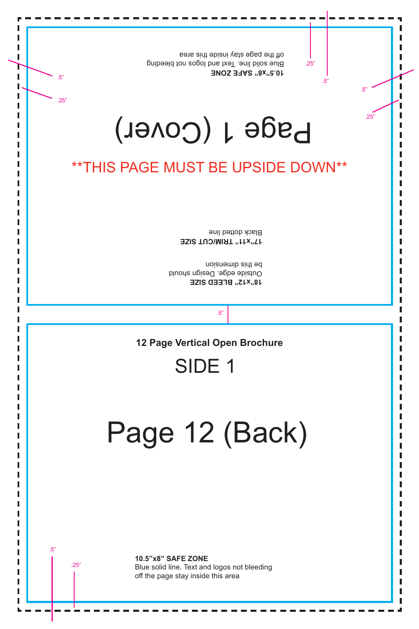## 12 (Back) Page Ш

## SIDE<sub>1</sub>

**12 Page Vertical Open Brochure** 

 $.5"$ 

noisnemib sint ed Outside edge. Design should **18 x15 BLEED SISE** 

Black dotted line **17"x11" TRIM/CUT SIZE** 

## *\*\*THIS PAGE MUST BE UPSIDE DOWN\*\**

# Page 1 (Cover)

off the page stay inside this area Blue solid line. Text and logos not bleeding **10.5"x8" SAFE ZONE** 

 $.5"$ 

 $.25"$ 

 $.25"$ 

 $.5"$ 

 $.5"$ 

.25"

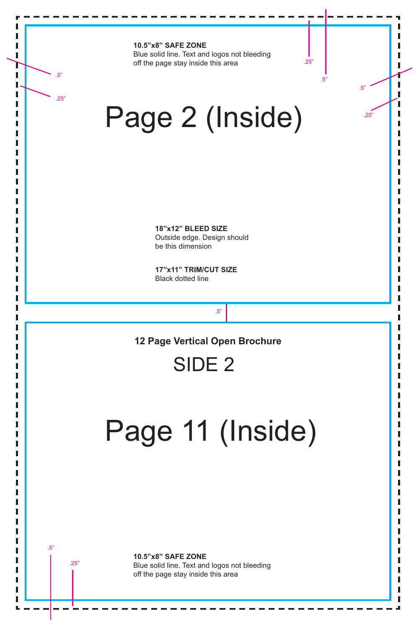**10.5"x8" SAFE ZONE** Blue solid line. Text and logos not bleeding off the page stay inside this area

> **17"x11" TRIM/CUT SIZE** Black dotted line

# **10.5"x8" SAFE ZONE** Blue solid line. Text and logos not bleeding off the page stay inside this area .25" .5"

**18"x12" BLEED SIZE** Outside edge. Design should be this dimension

# Page 2 (Inside)

Page 11 (Inside)

**12 Page Vertical Open Brochure**

SIDE 2

.5"

.5"

.5"

.25"

.25"

.25"

.5"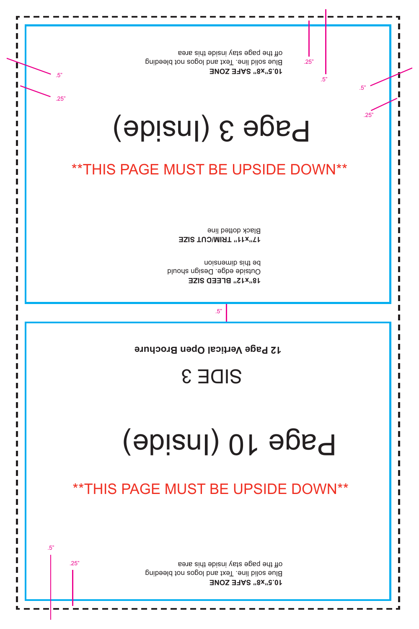SIDE 3

12 Page Vertical Open Brochure

**EZI S TUC/ MI RT "11x"71** Black dotted line

**EZI S DEELB"21x"81** Dutside edge. Design should noi sua mini bad



.5"

.5"

.5"

.25"

.25"

.25"

.5"

## \*\*THIS PAGE MUST BE UPSIDE DOWN\*\*

# Page 3 (Inside)

**ENOZ EFAS"8x"5. 01** Blue solid ine. Text and logos not bleeding a sint ebizni yate egap eht fio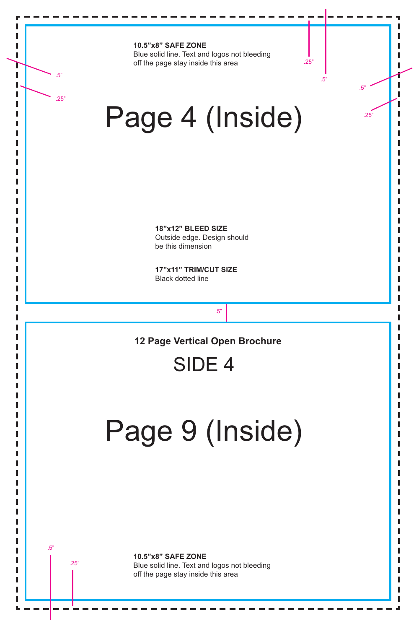**10.5"x8" SAFE ZONE** Blue solid line. Text and logos not bleeding off the page stay inside this area

### **10.5"x8" SAFE ZONE**

Blue solid line. Text and logos not bleeding off the page stay inside this area

**17"x11" TRIM/CUT SIZE** Black dotted line

**18"x12" BLEED SIZE** Outside edge. Design should be this dimension

# Page 4 (Inside)

Page 9 (Inside)

**12 Page Vertical Open Brochure**

SIDE 4

.5"

.5"

.5"

.25"

.25"

.25"

.5"

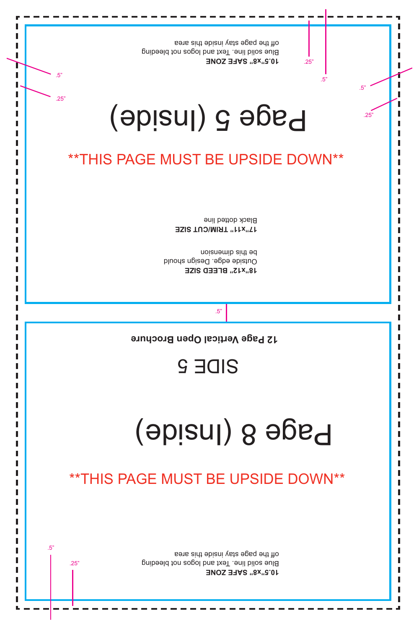## **Page 8 (Inside)**

## SIDE S

12 Page Vertical Open Brochure

.5"

.5"

.5"

.25"

.25"

**ENOZ EFAS"8x"5. 01** Blue solid line. Text and logos not bleeding a sint ebizni yate egap eht fio

.25"

.5"

**EZI S TUC/ MI RT "11x"71** Black dotted line

**EZI S DEELB"21x"81** Dutside edge. Design should noi sua mini sidt ed



## \*\*THIS PAGE MUST BE UPSIDE DOWN\*\*

# **bage 5 (Inside)**